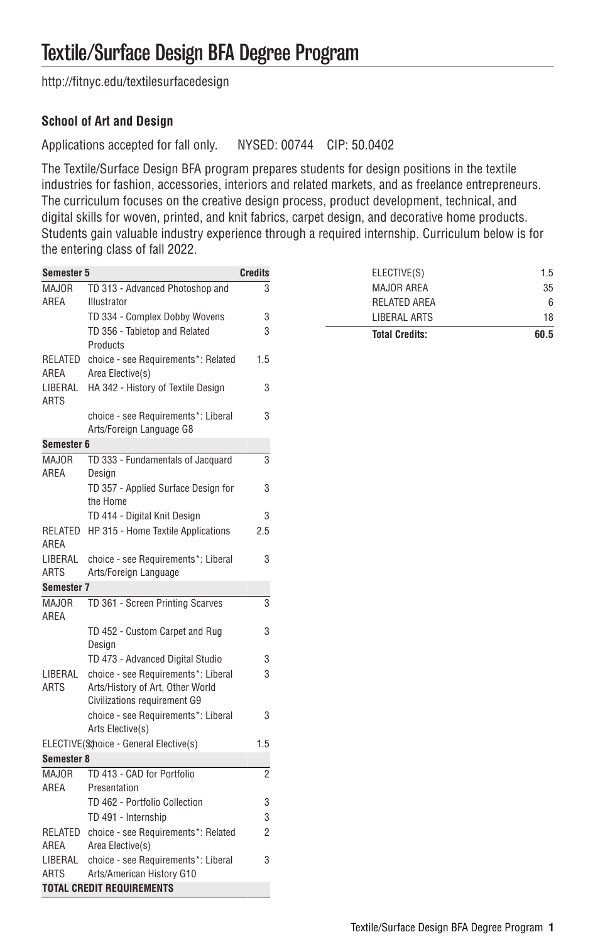[http://fitnyc.edu/textilesurfacedesign](http://fitnyc.edu/textilesurfacedesign/)

## **School of Art and Design**

Applications accepted for fall only. NYSED: 00744 CIP: 50.0402

The Textile/Surface Design BFA program prepares students for design positions in the textile industries for fashion, accessories, interiors and related markets, and as freelance entrepreneurs. The curriculum focuses on the creative design process, product development, technical, and digital skills for woven, printed, and knit fabrics, carpet design, and decorative home products. Students gain valuable industry experience through a required internship. Curriculum below is for the entering class of fall 2022.

| Semester 5             |                                                                                                         | <b>Credits</b> | ELECTIVE(S)           | 1.5  |
|------------------------|---------------------------------------------------------------------------------------------------------|----------------|-----------------------|------|
| <b>MAJOR</b>           | TD 313 - Advanced Photoshop and                                                                         | 3              | MAJOR AREA            | 35   |
| AREA                   | Illustrator                                                                                             |                | <b>RELATED AREA</b>   | 6    |
|                        | TD 334 - Complex Dobby Wovens                                                                           | 3              | LIBERAL ARTS          | 18   |
|                        | TD 356 - Tabletop and Related<br>Products                                                               | 3              | <b>Total Credits:</b> | 60.5 |
| AREA                   | RELATED choice - see Requirements*: Related<br>Area Elective(s)                                         | 1.5            |                       |      |
| LIBERAL<br><b>ARTS</b> | HA 342 - History of Textile Design                                                                      | 3              |                       |      |
|                        | choice - see Requirements*: Liberal<br>Arts/Foreign Language G8                                         | 3              |                       |      |
| Semester 6             |                                                                                                         |                |                       |      |
| <b>MAJOR</b><br>AREA   | TD 333 - Fundamentals of Jacquard<br>Design                                                             | 3              |                       |      |
|                        | TD 357 - Applied Surface Design for<br>the Home                                                         | 3              |                       |      |
|                        | TD 414 - Digital Knit Design                                                                            | 3              |                       |      |
| AREA                   | RELATED HP 315 - Home Textile Applications                                                              | 2.5            |                       |      |
| LIBERAL<br><b>ARTS</b> | choice - see Requirements*: Liberal<br>Arts/Foreign Language                                            | 3              |                       |      |
| Semester 7             |                                                                                                         |                |                       |      |
| <b>MAJOR</b><br>AREA   | TD 361 - Screen Printing Scarves                                                                        | 3              |                       |      |
|                        | TD 452 - Custom Carpet and Rug<br>Design                                                                | 3              |                       |      |
|                        | TD 473 - Advanced Digital Studio                                                                        | 3              |                       |      |
| LIBERAL<br>ARTS        | choice - see Requirements*: Liberal<br>Arts/History of Art, Other World<br>Civilizations requirement G9 | 3              |                       |      |
|                        | choice - see Requirements*: Liberal<br>Arts Elective(s)                                                 | 3              |                       |      |
|                        | ELECTIVE(Schoice - General Elective(s)                                                                  | 1.5            |                       |      |
| Semester 8             |                                                                                                         |                |                       |      |
| <b>MAJOR</b><br>AREA   | TD 413 - CAD for Portfolio<br>Presentation                                                              | $\overline{2}$ |                       |      |
|                        | TD 462 - Portfolio Collection                                                                           | 3              |                       |      |
|                        | TD 491 - Internship                                                                                     | 3              |                       |      |
| AREA                   | RELATED choice - see Requirements*: Related<br>Area Elective(s)                                         | $\overline{2}$ |                       |      |
| <b>ARTS</b>            | LIBERAL choice - see Requirements*: Liberal<br>Arts/American History G10                                | 3              |                       |      |
|                        | <b>TOTAL CREDIT REQUIREMENTS</b>                                                                        |                |                       |      |